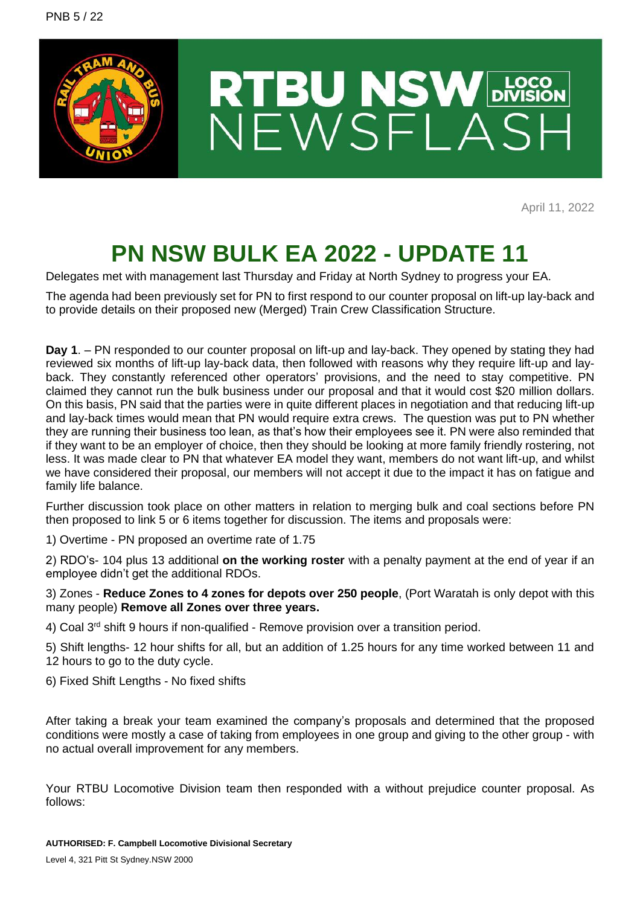

April 11, 2022

## **PN NSW BULK EA 2022 - UPDATE 11**

Delegates met with management last Thursday and Friday at North Sydney to progress your EA.

The agenda had been previously set for PN to first respond to our counter proposal on lift-up lay-back and to provide details on their proposed new (Merged) Train Crew Classification Structure.

**Day 1**. – PN responded to our counter proposal on lift-up and lay-back. They opened by stating they had reviewed six months of lift-up lay-back data, then followed with reasons why they require lift-up and layback. They constantly referenced other operators' provisions, and the need to stay competitive. PN claimed they cannot run the bulk business under our proposal and that it would cost \$20 million dollars. On this basis, PN said that the parties were in quite different places in negotiation and that reducing lift-up and lay-back times would mean that PN would require extra crews. The question was put to PN whether they are running their business too lean, as that's how their employees see it. PN were also reminded that if they want to be an employer of choice, then they should be looking at more family friendly rostering, not less. It was made clear to PN that whatever EA model they want, members do not want lift-up, and whilst we have considered their proposal, our members will not accept it due to the impact it has on fatigue and family life balance.

Further discussion took place on other matters in relation to merging bulk and coal sections before PN then proposed to link 5 or 6 items together for discussion. The items and proposals were:

1) Overtime - PN proposed an overtime rate of 1.75

2) RDO's- 104 plus 13 additional **on the working roster** with a penalty payment at the end of year if an employee didn't get the additional RDOs.

3) Zones - **Reduce Zones to 4 zones for depots over 250 people**, (Port Waratah is only depot with this many people) **Remove all Zones over three years.**

4) Coal  $3^{rd}$  shift 9 hours if non-qualified - Remove provision over a transition period.

5) Shift lengths- 12 hour shifts for all, but an addition of 1.25 hours for any time worked between 11 and 12 hours to go to the duty cycle.

6) Fixed Shift Lengths - No fixed shifts

After taking a break your team examined the company's proposals and determined that the proposed conditions were mostly a case of taking from employees in one group and giving to the other group - with no actual overall improvement for any members.

Your RTBU Locomotive Division team then responded with a without prejudice counter proposal. As follows: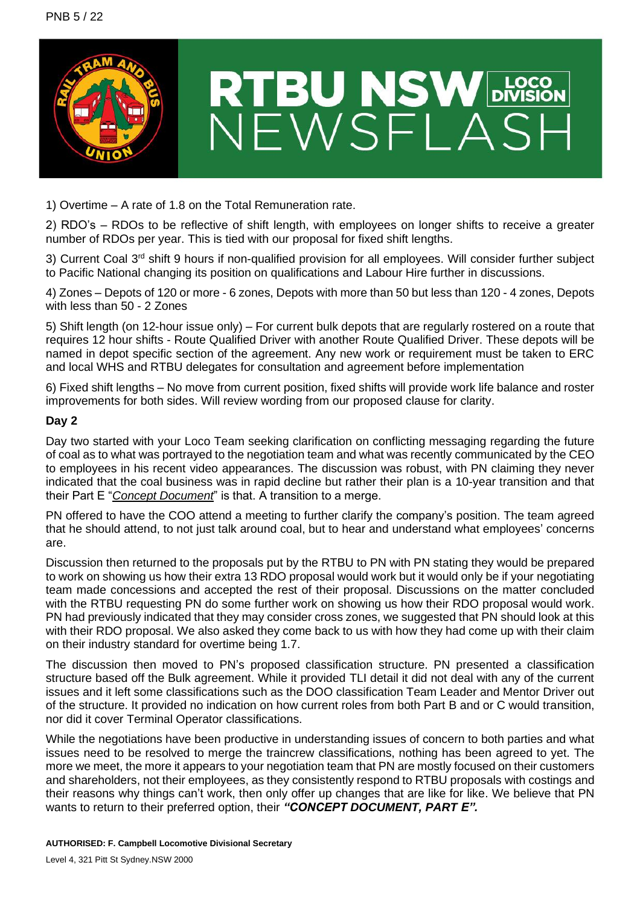

1) Overtime – A rate of 1.8 on the Total Remuneration rate.

2) RDO's – RDOs to be reflective of shift length, with employees on longer shifts to receive a greater number of RDOs per year. This is tied with our proposal for fixed shift lengths.

3) Current Coal 3<sup>rd</sup> shift 9 hours if non-qualified provision for all employees. Will consider further subject to Pacific National changing its position on qualifications and Labour Hire further in discussions.

4) Zones – Depots of 120 or more - 6 zones, Depots with more than 50 but less than 120 - 4 zones, Depots with less than 50 - 2 Zones

5) Shift length (on 12-hour issue only) – For current bulk depots that are regularly rostered on a route that requires 12 hour shifts - Route Qualified Driver with another Route Qualified Driver. These depots will be named in depot specific section of the agreement. Any new work or requirement must be taken to ERC and local WHS and RTBU delegates for consultation and agreement before implementation

6) Fixed shift lengths – No move from current position, fixed shifts will provide work life balance and roster improvements for both sides. Will review wording from our proposed clause for clarity.

## **Day 2**

Day two started with your Loco Team seeking clarification on conflicting messaging regarding the future of coal as to what was portrayed to the negotiation team and what was recently communicated by the CEO to employees in his recent video appearances. The discussion was robust, with PN claiming they never indicated that the coal business was in rapid decline but rather their plan is a 10-year transition and that their Part E "*Concept Document*" is that. A transition to a merge.

PN offered to have the COO attend a meeting to further clarify the company's position. The team agreed that he should attend, to not just talk around coal, but to hear and understand what employees' concerns are.

Discussion then returned to the proposals put by the RTBU to PN with PN stating they would be prepared to work on showing us how their extra 13 RDO proposal would work but it would only be if your negotiating team made concessions and accepted the rest of their proposal. Discussions on the matter concluded with the RTBU requesting PN do some further work on showing us how their RDO proposal would work. PN had previously indicated that they may consider cross zones, we suggested that PN should look at this with their RDO proposal. We also asked they come back to us with how they had come up with their claim on their industry standard for overtime being 1.7.

The discussion then moved to PN's proposed classification structure. PN presented a classification structure based off the Bulk agreement. While it provided TLI detail it did not deal with any of the current issues and it left some classifications such as the DOO classification Team Leader and Mentor Driver out of the structure. It provided no indication on how current roles from both Part B and or C would transition, nor did it cover Terminal Operator classifications.

While the negotiations have been productive in understanding issues of concern to both parties and what issues need to be resolved to merge the traincrew classifications, nothing has been agreed to yet. The more we meet, the more it appears to your negotiation team that PN are mostly focused on their customers and shareholders, not their employees, as they consistently respond to RTBU proposals with costings and their reasons why things can't work, then only offer up changes that are like for like. We believe that PN wants to return to their preferred option, their *"CONCEPT DOCUMENT, PART E".*

## **AUTHORISED: F. Campbell Locomotive Divisional Secretary**